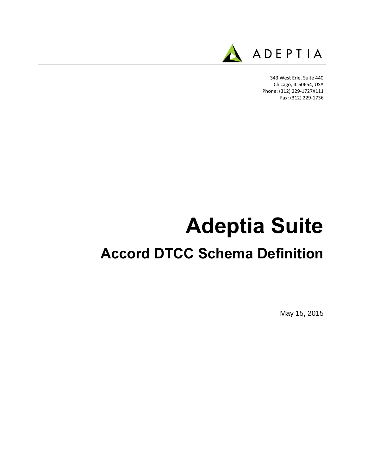

343 West Erie, Suite 440 Chicago, IL 60654, USA Phone: (312) 229-1727X111 Fax: (312) 229-1736

## **Adeptia Suite**

## **Accord DTCC Schema Definition**

May 15, 2015